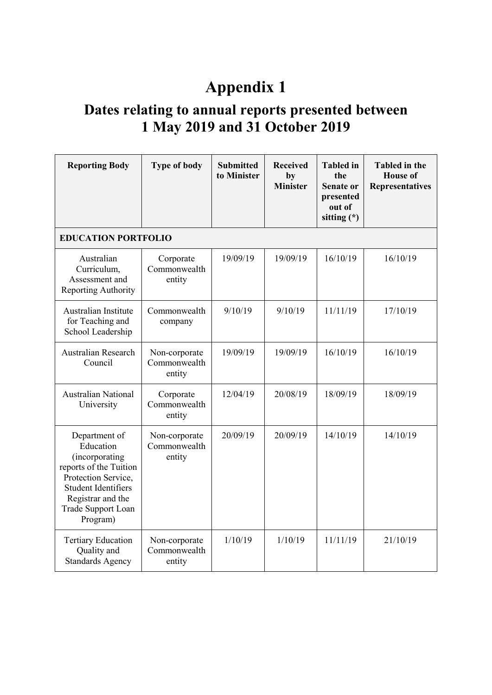## **Appendix 1**

## **Dates relating to annual reports presented between 1 May 2019 and 31 October 2019**

| <b>Reporting Body</b>                                                                                                                                                              | <b>Type of body</b>                     | <b>Submitted</b><br>to Minister | <b>Received</b><br>by<br><b>Minister</b> | <b>Tabled</b> in<br>the<br><b>Senate or</b><br>presented<br>out of<br>sitting $(*)$ | <b>Tabled</b> in the<br><b>House of</b><br><b>Representatives</b> |  |  |  |
|------------------------------------------------------------------------------------------------------------------------------------------------------------------------------------|-----------------------------------------|---------------------------------|------------------------------------------|-------------------------------------------------------------------------------------|-------------------------------------------------------------------|--|--|--|
| <b>EDUCATION PORTFOLIO</b>                                                                                                                                                         |                                         |                                 |                                          |                                                                                     |                                                                   |  |  |  |
| Australian<br>Curriculum,<br>Assessment and<br>Reporting Authority                                                                                                                 | Corporate<br>Commonwealth<br>entity     | 19/09/19                        | 19/09/19                                 | 16/10/19                                                                            | 16/10/19                                                          |  |  |  |
| Australian Institute<br>for Teaching and<br>School Leadership                                                                                                                      | Commonwealth<br>company                 | 9/10/19                         | 9/10/19                                  | 11/11/19                                                                            | 17/10/19                                                          |  |  |  |
| <b>Australian Research</b><br>Council                                                                                                                                              | Non-corporate<br>Commonwealth<br>entity | 19/09/19                        | 19/09/19                                 | 16/10/19                                                                            | 16/10/19                                                          |  |  |  |
| <b>Australian National</b><br>University                                                                                                                                           | Corporate<br>Commonwealth<br>entity     | 12/04/19                        | 20/08/19                                 | 18/09/19                                                                            | 18/09/19                                                          |  |  |  |
| Department of<br>Education<br>(incorporating<br>reports of the Tuition<br>Protection Service,<br><b>Student Identifiers</b><br>Registrar and the<br>Trade Support Loan<br>Program) | Non-corporate<br>Commonwealth<br>entity | 20/09/19                        | 20/09/19                                 | 14/10/19                                                                            | 14/10/19                                                          |  |  |  |
| <b>Tertiary Education</b><br>Quality and<br><b>Standards Agency</b>                                                                                                                | Non-corporate<br>Commonwealth<br>entity | 1/10/19                         | 1/10/19                                  | 11/11/19                                                                            | 21/10/19                                                          |  |  |  |